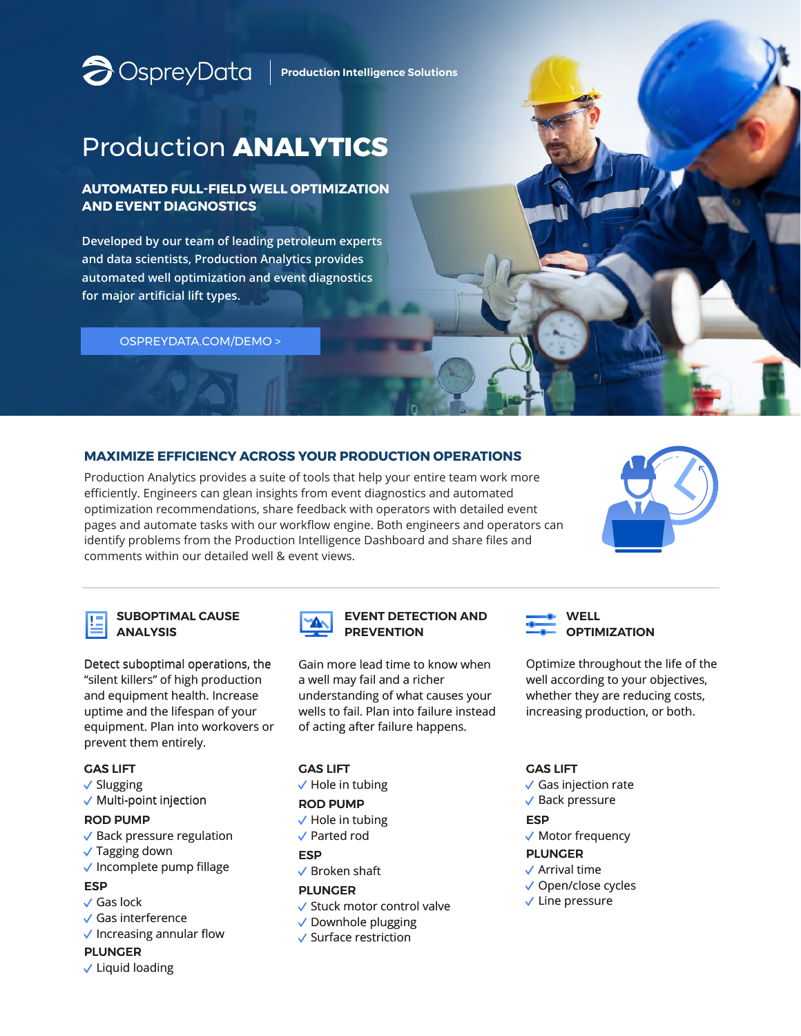**P**OSpreyData | Production Intelligence Solutions

# Production **ANALYTICS**

# **AUTOMATED FULL-FIELD WELL OPTIMIZATION AND EVENT DIAGNOSTICS**

**Developed by our team of leading petroleum experts and data scientists, Production Analytics provides automated well optimization and event diagnostics for major artificial lift types.**

[OSPREYDATA.COM/DEMO >](https://www.ospreydata.com/demo/)

# **MAXIMIZE EFFICIENCY ACROSS YOUR PRODUCTION OPERATIONS**

Production Analytics provides a suite of tools that help your entire team work more efficiently. Engineers can glean insights from event diagnostics and automated optimization recommendations, share feedback with operators with detailed event pages and automate tasks with our workflow engine. Both engineers and operators can identify problems from the Production Intelligence Dashboard and share files and comments within our detailed well & event views.





## **SUBOPTIMAL CAUSE ANALYSIS**

Detect suboptimal operations, the "silent killers" of high production and equipment health. Increase uptime and the lifespan of your equipment. Plan into workovers or prevent them entirely.

## GAS LIFT

- $\checkmark$  Slugging
- $\checkmark$  Multi-point injection

## ROD PUMP

- $\checkmark$  Back pressure regulation
- $\sqrt{}$  Tagging down
- $\checkmark$  Incomplete pump fillage

# ESP

- Gas lock
- $\checkmark$  Gas interference
- $\checkmark$  Increasing annular flow

# PLUNGER

 $\checkmark$  Liquid loading



### **EVENT DETECTION AND PREVENTION**

Gain more lead time to know when a well may fail and a richer understanding of what causes your wells to fail. Plan into failure instead of acting after failure happens.

# GAS LIFT

 $\sqrt{}$  Hole in tubing

#### ROD PUMP

- $\checkmark$  Hole in tubing
- Parted rod

#### ESP

 $\vee$  Broken shaft

### PLUNGER

- $\checkmark$  Stuck motor control valve
- $\sqrt{}$  Downhole plugging
- $\checkmark$  Surface restriction



Optimize throughout the life of the well according to your objectives, whether they are reducing costs, increasing production, or both.

# GAS LIFT

- $\checkmark$  Gas injection rate
- $\sqrt{\phantom{a}}$  Back pressure

# **ESP**

 $\sqrt{\phantom{a}}$  Motor frequency

## PLUNGER

- $\sqrt{\phantom{a}}$  Arrival time
- Open/close cycles
- $\sqrt{}$  Line pressure